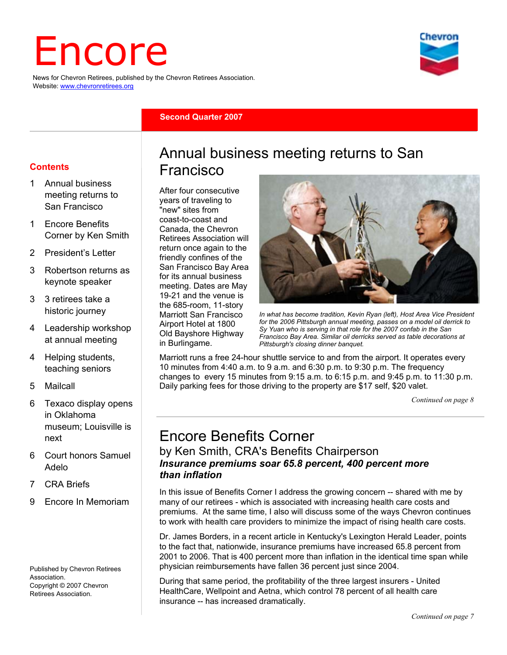# Encore

News for Chevron Retirees, published by the Chevron Retirees Association. Website: www.chevronretirees.org



#### **Second Quarter 2007**

#### **Contents**

- Annual business meeting returns to San Francisco
- 1 Encore Benefits Corner by Ken Smith
- 2 President's Letter
- 3 Robertson returns as keynote speaker
- 3 3 retirees take a historic journey
- 4 Leadership workshop at annual meeting
- 4 Helping students, teaching seniors
- 5 Mailcall
- 6 Texaco display opens in Oklahoma museum; Louisville is next
- 6 Court honors Samuel Adelo
- 7 CRA Briefs
- 9 Encore In Memoriam

Published by Chevron Retirees Association. Copyright © 2007 Chevron Retirees Association.

### Annual business meeting returns to San Francisco

After four consecutive years of traveling to "new" sites from coast-to-coast and Canada, the Chevron Retirees Association will return once again to the friendly confines of the San Francisco Bay Area for its annual business meeting. Dates are May 19-21 and the venue is the 685-room, 11-story Marriott San Francisco Airport Hotel at 1800 Old Bayshore Highway in Burlingame.



*In what has become tradition, Kevin Ryan (left), Host Area Vice President for the 2006 Pittsburgh annual meeting, passes on a model oil derrick to Sy Yuan who is serving in that role for the 2007 confab in the San Francisco Bay Area. Similar oil derricks served as table decorations at Pittsburgh's closing dinner banquet.* 

Marriott runs a free 24-hour shuttle service to and from the airport. It operates every 10 minutes from 4:40 a.m. to 9 a.m. and 6:30 p.m. to 9:30 p.m. The frequency changes to every 15 minutes from 9:15 a.m. to 6:15 p.m. and 9:45 p.m. to 11:30 p.m. Daily parking fees for those driving to the property are \$17 self, \$20 valet.

*Continued on page 8*

## Encore Benefits Corner

#### by Ken Smith, CRA's Benefits Chairperson *Insurance premiums soar 65.8 percent, 400 percent more than inflation*

In this issue of Benefits Corner I address the growing concern -- shared with me by many of our retirees - which is associated with increasing health care costs and premiums. At the same time, I also will discuss some of the ways Chevron continues to work with health care providers to minimize the impact of rising health care costs.

Dr. James Borders, in a recent article in Kentucky's Lexington Herald Leader, points to the fact that, nationwide, insurance premiums have increased 65.8 percent from 2001 to 2006. That is 400 percent more than inflation in the identical time span while physician reimbursements have fallen 36 percent just since 2004.

During that same period, the profitability of the three largest insurers - United HealthCare, Wellpoint and Aetna, which control 78 percent of all health care insurance -- has increased dramatically.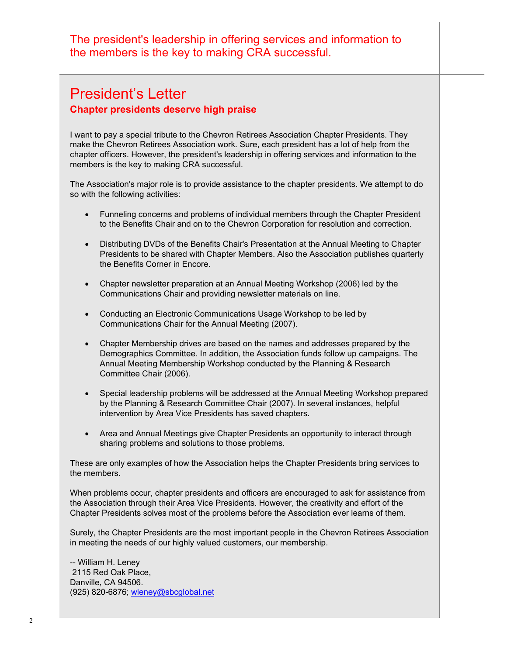The president's leadership in offering services and information to the members is the key to making CRA successful.

#### President's Letter **Chapter presidents deserve high praise**

I want to pay a special tribute to the Chevron Retirees Association Chapter Presidents. They make the Chevron Retirees Association work. Sure, each president has a lot of help from the chapter officers. However, the president's leadership in offering services and information to the members is the key to making CRA successful.

The Association's major role is to provide assistance to the chapter presidents. We attempt to do so with the following activities:

- Funneling concerns and problems of individual members through the Chapter President to the Benefits Chair and on to the Chevron Corporation for resolution and correction.
- Distributing DVDs of the Benefits Chair's Presentation at the Annual Meeting to Chapter Presidents to be shared with Chapter Members. Also the Association publishes quarterly the Benefits Corner in Encore.
- Chapter newsletter preparation at an Annual Meeting Workshop (2006) led by the Communications Chair and providing newsletter materials on line.
- Conducting an Electronic Communications Usage Workshop to be led by Communications Chair for the Annual Meeting (2007).
- Chapter Membership drives are based on the names and addresses prepared by the Demographics Committee. In addition, the Association funds follow up campaigns. The Annual Meeting Membership Workshop conducted by the Planning & Research Committee Chair (2006).
- Special leadership problems will be addressed at the Annual Meeting Workshop prepared by the Planning & Research Committee Chair (2007). In several instances, helpful intervention by Area Vice Presidents has saved chapters.
- Area and Annual Meetings give Chapter Presidents an opportunity to interact through sharing problems and solutions to those problems.

These are only examples of how the Association helps the Chapter Presidents bring services to the members.

When problems occur, chapter presidents and officers are encouraged to ask for assistance from the Association through their Area Vice Presidents. However, the creativity and effort of the Chapter Presidents solves most of the problems before the Association ever learns of them.

Surely, the Chapter Presidents are the most important people in the Chevron Retirees Association in meeting the needs of our highly valued customers, our membership.

-- William H. Leney 2115 Red Oak Place, Danville, CA 94506. (925) 820-6876; wleney@sbcglobal.net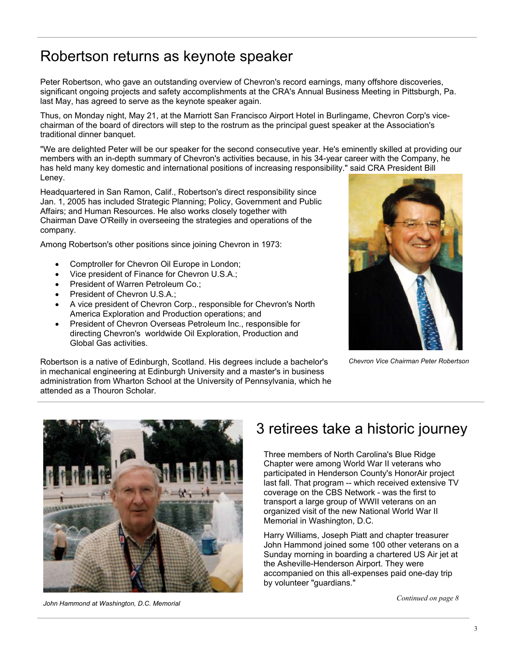## Robertson returns as keynote speaker

Peter Robertson, who gave an outstanding overview of Chevron's record earnings, many offshore discoveries, significant ongoing projects and safety accomplishments at the CRA's Annual Business Meeting in Pittsburgh, Pa. last May, has agreed to serve as the keynote speaker again.

Thus, on Monday night, May 21, at the Marriott San Francisco Airport Hotel in Burlingame, Chevron Corp's vicechairman of the board of directors will step to the rostrum as the principal guest speaker at the Association's traditional dinner banquet.

"We are delighted Peter will be our speaker for the second consecutive year. He's eminently skilled at providing our members with an in-depth summary of Chevron's activities because, in his 34-year career with the Company, he has held many key domestic and international positions of increasing responsibility," said CRA President Bill Leney.

Headquartered in San Ramon, Calif., Robertson's direct responsibility since Jan. 1, 2005 has included Strategic Planning; Policy, Government and Public Affairs; and Human Resources. He also works closely together with Chairman Dave O'Reilly in overseeing the strategies and operations of the company.

Among Robertson's other positions since joining Chevron in 1973:

- Comptroller for Chevron Oil Europe in London;
- Vice president of Finance for Chevron U.S.A.;
- President of Warren Petroleum Co.:
- President of Chevron U.S.A.;
- A vice president of Chevron Corp., responsible for Chevron's North America Exploration and Production operations; and
- President of Chevron Overseas Petroleum Inc., responsible for directing Chevron's worldwide Oil Exploration, Production and Global Gas activities.



*Chevron Vice Chairman Peter Robertson* 

Robertson is a native of Edinburgh, Scotland. His degrees include a bachelor's in mechanical engineering at Edinburgh University and a master's in business administration from Wharton School at the University of Pennsylvania, which he attended as a Thouron Scholar.



## 3 retirees take a historic journey

Three members of North Carolina's Blue Ridge Chapter were among World War II veterans who participated in Henderson County's HonorAir project last fall. That program -- which received extensive TV coverage on the CBS Network - was the first to transport a large group of WWII veterans on an organized visit of the new National World War II Memorial in Washington, D.C.

Harry Williams, Joseph Piatt and chapter treasurer John Hammond joined some 100 other veterans on a Sunday morning in boarding a chartered US Air jet at the Asheville-Henderson Airport. They were accompanied on this all-expenses paid one-day trip by volunteer "guardians."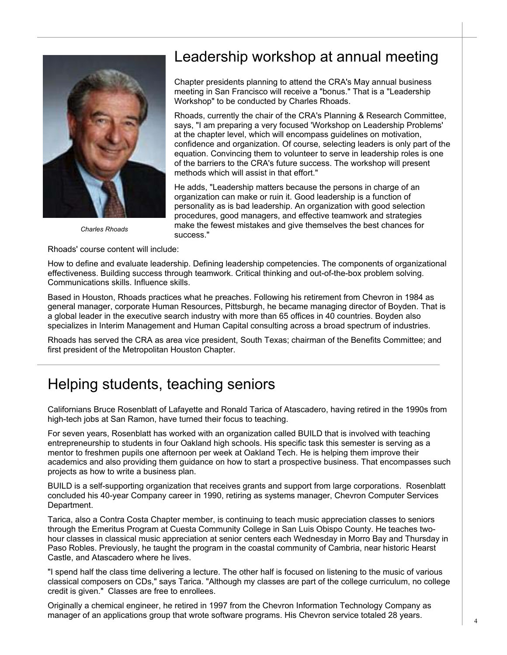

*Charles Rhoads* 

Rhoads' course content will include:

## Leadership workshop at annual meeting

Chapter presidents planning to attend the CRA's May annual business meeting in San Francisco will receive a "bonus." That is a "Leadership Workshop" to be conducted by Charles Rhoads.

Rhoads, currently the chair of the CRA's Planning & Research Committee, says, "I am preparing a very focused 'Workshop on Leadership Problems' at the chapter level, which will encompass guidelines on motivation, confidence and organization. Of course, selecting leaders is only part of the equation. Convincing them to volunteer to serve in leadership roles is one of the barriers to the CRA's future success. The workshop will present methods which will assist in that effort."

He adds, "Leadership matters because the persons in charge of an organization can make or ruin it. Good leadership is a function of personality as is bad leadership. An organization with good selection procedures, good managers, and effective teamwork and strategies make the fewest mistakes and give themselves the best chances for success."

How to define and evaluate leadership. Defining leadership competencies. The components of organizational effectiveness. Building success through teamwork. Critical thinking and out-of-the-box problem solving. Communications skills. Influence skills.

Based in Houston, Rhoads practices what he preaches. Following his retirement from Chevron in 1984 as general manager, corporate Human Resources, Pittsburgh, he became managing director of Boyden. That is a global leader in the executive search industry with more than 65 offices in 40 countries. Boyden also specializes in Interim Management and Human Capital consulting across a broad spectrum of industries.

Rhoads has served the CRA as area vice president, South Texas; chairman of the Benefits Committee; and first president of the Metropolitan Houston Chapter.

## Helping students, teaching seniors

Californians Bruce Rosenblatt of Lafayette and Ronald Tarica of Atascadero, having retired in the 1990s from high-tech jobs at San Ramon, have turned their focus to teaching.

For seven years, Rosenblatt has worked with an organization called BUILD that is involved with teaching entrepreneurship to students in four Oakland high schools. His specific task this semester is serving as a mentor to freshmen pupils one afternoon per week at Oakland Tech. He is helping them improve their academics and also providing them guidance on how to start a prospective business. That encompasses such projects as how to write a business plan.

BUILD is a self-supporting organization that receives grants and support from large corporations. Rosenblatt concluded his 40-year Company career in 1990, retiring as systems manager, Chevron Computer Services Department.

Tarica, also a Contra Costa Chapter member, is continuing to teach music appreciation classes to seniors through the Emeritus Program at Cuesta Community College in San Luis Obispo County. He teaches twohour classes in classical music appreciation at senior centers each Wednesday in Morro Bay and Thursday in Paso Robles. Previously, he taught the program in the coastal community of Cambria, near historic Hearst Castle, and Atascadero where he lives.

"I spend half the class time delivering a lecture. The other half is focused on listening to the music of various classical composers on CDs," says Tarica. "Although my classes are part of the college curriculum, no college credit is given." Classes are free to enrollees.

Originally a chemical engineer, he retired in 1997 from the Chevron Information Technology Company as manager of an applications group that wrote software programs. His Chevron service totaled 28 years.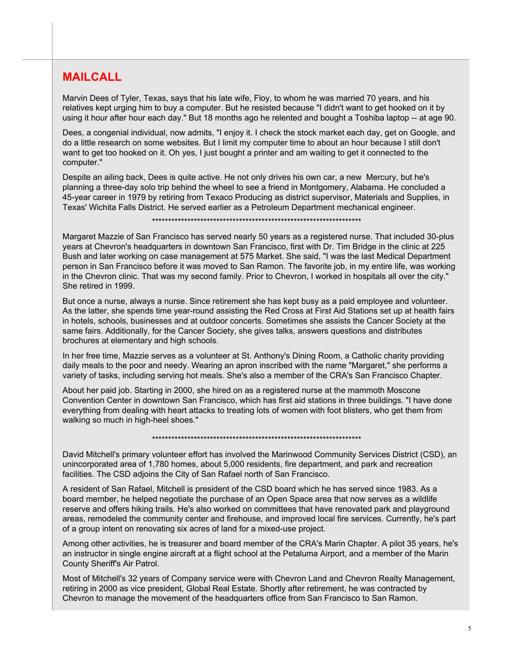#### **MAILCALL**

Marvin Dees of Tyler, Texas, says that his late wife, Floy, to whom he was married 70 years, and his relatives kept urging him to buy a computer. But he resisted because "I didn't want to get hooked on it by using it hour after hour each day." But 18 months ago he relented and bought a Toshiba laptop -- at age 90.

Dees, a congenial individual, now admits, "I enjoy it. I check the stock market each day, get on Google, and do a little research on some websites. But I limit my computer time to about an hour because I still don't want to get too hooked on it. Oh yes, I just bought a printer and am waiting to get it connected to the computer."

Despite an ailing back, Dees is quite active. He not only drives his own car, a new Mercury, but he's planning a three-day solo trip behind the wheel to see a friend in Montgomery, Alabama. He concluded a 45-year career in 1979 by retiring from Texaco Producing as district supervisor, Materials and Supplies, in Texas' Wichita Falls District. He served earlier as a Petroleum Department mechanical engineer.

\*\*\*\*\*\*\*\*\*\*\*\*\*\*\*\*\*\*\*\*\*\*\*\*\*\*\*\*\*\*\*\*\*\*\*\*\*\*\*\*\*\*\*\*\*\*\*\*\*\*\*\*\*\*\*\*\*\*\*\*\*\*\*\*\*

Margaret Mazzie of San Francisco has served nearly 50 years as a registered nurse. That included 30-plus years at Chevron's headquarters in downtown San Francisco, first with Dr. Tim Bridge in the clinic at 225 Bush and later working on case management at 575 Market. She said, "I was the last Medical Department person in San Francisco before it was moved to San Ramon. The favorite job, in my entire life, was working in the Chevron clinic. That was my second family. Prior to Chevron, I worked in hospitals all over the city." She retired in 1999.

But once a nurse, always a nurse. Since retirement she has kept busy as a paid employee and volunteer. As the latter, she spends time year-round assisting the Red Cross at First Aid Stations set up at health fairs in hotels, schools, businesses and at outdoor concerts. Sometimes she assists the Cancer Society at the same fairs. Additionally, for the Cancer Society, she gives talks, answers questions and distributes brochures at elementary and high schools.

In her free time, Mazzie serves as a volunteer at St. Anthony's Dining Room, a Catholic charity providing daily meals to the poor and needy. Wearing an apron inscribed with the name "Margaret," she performs a variety of tasks, including serving hot meals. She's also a member of the CRA's San Francisco Chapter.

About her paid job. Starting in 2000, she hired on as a registered nurse at the mammoth Moscone Convention Center in downtown San Francisco, which has first aid stations in three buildings. "I have done everything from dealing with heart attacks to treating lots of women with foot blisters, who get them from walking so much in high-heel shoes."

\*\*\*\*\*\*\*\*\*\*\*\*\*\*\*\*\*\*\*\*\*\*\*\*\*\*\*\*\*\*\*\*\*\*\*\*\*\*\*\*\*\*\*\*\*\*\*\*\*\*\*\*\*\*\*\*\*\*\*\*\*\*\*\*\*

David Mitchell's primary volunteer effort has involved the Marinwood Community Services District (CSD), an unincorporated area of 1,780 homes, about 5,000 residents, fire department, and park and recreation facilities. The CSD adjoins the City of San Rafael north of San Francisco.

A resident of San Rafael, Mitchell is president of the CSD board which he has served since 1983. As a board member, he helped negotiate the purchase of an Open Space area that now serves as a wildlife reserve and offers hiking trails. He's also worked on committees that have renovated park and playground areas, remodeled the community center and firehouse, and improved local fire services. Currently, he's part of a group intent on renovating six acres of land for a mixed-use project.

Among other activities, he is treasurer and board member of the CRA's Marin Chapter. A pilot 35 years, he's an instructor in single engine aircraft at a flight school at the Petaluma Airport, and a member of the Marin County Sheriff's Air Patrol.

Most of Mitchell's 32 years of Company service were with Chevron Land and Chevron Realty Management, retiring in 2000 as vice president, Global Real Estate. Shortly after retirement, he was contracted by Chevron to manage the movement of the headquarters office from San Francisco to San Ramon.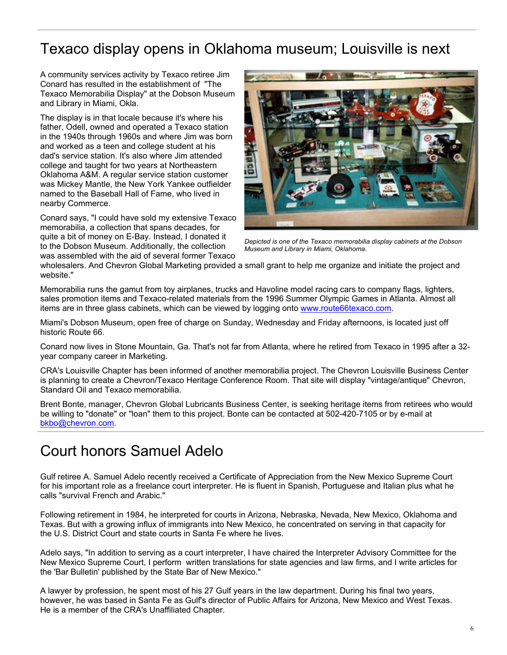## Texaco display opens in Oklahoma museum; Louisville is next

A community services activity by Texaco retiree Jim Conard has resulted in the establishment of "The Texaco Memorabilia Display" at the Dobson Museum and Library in Miami, Okla.

The display is in that locale because it's where his father, Odell, owned and operated a Texaco station in the 1940s through 1960s and where Jim was born and worked as a teen and college student at his dad's service station. It's also where Jim attended college and taught for two years at Northeastern Oklahoma A&M. A regular service station customer was Mickey Mantle, the New York Yankee outfielder named to the Baseball Hall of Fame, who lived in nearby Commerce.

Conard says, "I could have sold my extensive Texaco memorabilia, a collection that spans decades, for quite a bit of money on E-Bay. Instead, I donated it to the Dobson Museum. Additionally, the collection was assembled with the aid of several former Texaco



*Depicted is one of the Texaco memorabilia display cabinets at the Dobson Museum and Library in Miami, Oklahoma.* 

wholesalers. And Chevron Global Marketing provided a small grant to help me organize and initiate the project and website."

Memorabilia runs the gamut from toy airplanes, trucks and Havoline model racing cars to company flags, lighters, sales promotion items and Texaco-related materials from the 1996 Summer Olympic Games in Atlanta. Almost all items are in three glass cabinets, which can be viewed by logging onto www.route66texaco.com.

Miami's Dobson Museum, open free of charge on Sunday, Wednesday and Friday afternoons, is located just off historic Route 66.

Conard now lives in Stone Mountain, Ga. That's not far from Atlanta, where he retired from Texaco in 1995 after a 32 year company career in Marketing.

CRA's Louisville Chapter has been informed of another memorabilia project. The Chevron Louisville Business Center is planning to create a Chevron/Texaco Heritage Conference Room. That site will display "vintage/antique" Chevron, Standard Oil and Texaco memorabilia.

Brent Bonte, manager, Chevron Global Lubricants Business Center, is seeking heritage items from retirees who would be willing to "donate" or "loan" them to this project. Bonte can be contacted at 502-420-7105 or by e-mail at bkbo@chevron.com.

### Court honors Samuel Adelo

Gulf retiree A. Samuel Adelo recently received a Certificate of Appreciation from the New Mexico Supreme Court for his important role as a freelance court interpreter. He is fluent in Spanish, Portuguese and Italian plus what he calls "survival French and Arabic."

Following retirement in 1984, he interpreted for courts in Arizona, Nebraska, Nevada, New Mexico, Oklahoma and Texas. But with a growing influx of immigrants into New Mexico, he concentrated on serving in that capacity for the U.S. District Court and state courts in Santa Fe where he lives.

Adelo says, "In addition to serving as a court interpreter, I have chaired the Interpreter Advisory Committee for the New Mexico Supreme Court, I perform written translations for state agencies and law firms, and I write articles for the 'Bar Bulletin' published by the State Bar of New Mexico."

A lawyer by profession, he spent most of his 27 Gulf years in the law department. During his final two years, however, he was based in Santa Fe as Gulf's director of Public Affairs for Arizona, New Mexico and West Texas. He is a member of the CRA's Unaffiliated Chapter.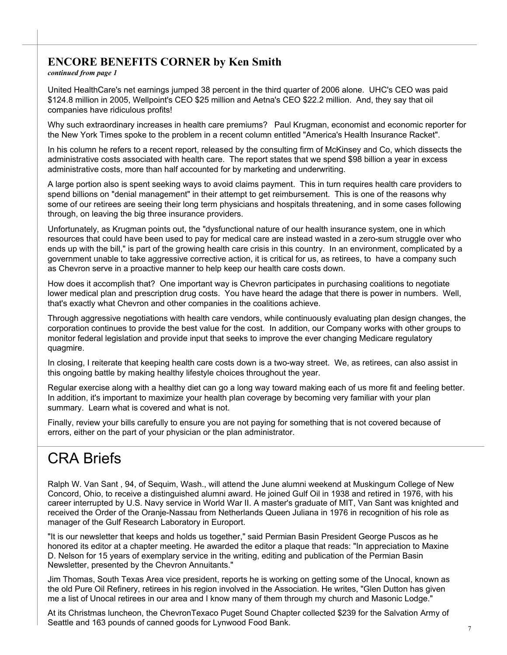#### **ENCORE BENEFITS CORNER by Ken Smith**

*continued from page 1*

United HealthCare's net earnings jumped 38 percent in the third quarter of 2006 alone. UHC's CEO was paid \$124.8 million in 2005, Wellpoint's CEO \$25 million and Aetna's CEO \$22.2 million. And, they say that oil companies have ridiculous profits!

Why such extraordinary increases in health care premiums? Paul Krugman, economist and economic reporter for the New York Times spoke to the problem in a recent column entitled "America's Health Insurance Racket".

In his column he refers to a recent report, released by the consulting firm of McKinsey and Co, which dissects the administrative costs associated with health care. The report states that we spend \$98 billion a year in excess administrative costs, more than half accounted for by marketing and underwriting.

A large portion also is spent seeking ways to avoid claims payment. This in turn requires health care providers to spend billions on "denial management" in their attempt to get reimbursement. This is one of the reasons why some of our retirees are seeing their long term physicians and hospitals threatening, and in some cases following through, on leaving the big three insurance providers.

Unfortunately, as Krugman points out, the "dysfunctional nature of our health insurance system, one in which resources that could have been used to pay for medical care are instead wasted in a zero-sum struggle over who ends up with the bill," is part of the growing health care crisis in this country. In an environment, complicated by a government unable to take aggressive corrective action, it is critical for us, as retirees, to have a company such as Chevron serve in a proactive manner to help keep our health care costs down.

How does it accomplish that? One important way is Chevron participates in purchasing coalitions to negotiate lower medical plan and prescription drug costs. You have heard the adage that there is power in numbers. Well, that's exactly what Chevron and other companies in the coalitions achieve.

Through aggressive negotiations with health care vendors, while continuously evaluating plan design changes, the corporation continues to provide the best value for the cost. In addition, our Company works with other groups to monitor federal legislation and provide input that seeks to improve the ever changing Medicare regulatory quagmire.

In closing, I reiterate that keeping health care costs down is a two-way street. We, as retirees, can also assist in this ongoing battle by making healthy lifestyle choices throughout the year.

Regular exercise along with a healthy diet can go a long way toward making each of us more fit and feeling better. In addition, it's important to maximize your health plan coverage by becoming very familiar with your plan summary. Learn what is covered and what is not.

Finally, review your bills carefully to ensure you are not paying for something that is not covered because of errors, either on the part of your physician or the plan administrator.

## CRA Briefs

Ralph W. Van Sant , 94, of Sequim, Wash., will attend the June alumni weekend at Muskingum College of New Concord, Ohio, to receive a distinguished alumni award. He joined Gulf Oil in 1938 and retired in 1976, with his career interrupted by U.S. Navy service in World War II. A master's graduate of MIT, Van Sant was knighted and received the Order of the Oranje-Nassau from Netherlands Queen Juliana in 1976 in recognition of his role as manager of the Gulf Research Laboratory in Europort.

"It is our newsletter that keeps and holds us together," said Permian Basin President George Puscos as he honored its editor at a chapter meeting. He awarded the editor a plaque that reads: "In appreciation to Maxine D. Nelson for 15 years of exemplary service in the writing, editing and publication of the Permian Basin Newsletter, presented by the Chevron Annuitants."

Jim Thomas, South Texas Area vice president, reports he is working on getting some of the Unocal, known as the old Pure Oil Refinery, retirees in his region involved in the Association. He writes, "Glen Dutton has given me a list of Unocal retirees in our area and I know many of them through my church and Masonic Lodge."

At its Christmas luncheon, the ChevronTexaco Puget Sound Chapter collected \$239 for the Salvation Army of Seattle and 163 pounds of canned goods for Lynwood Food Bank.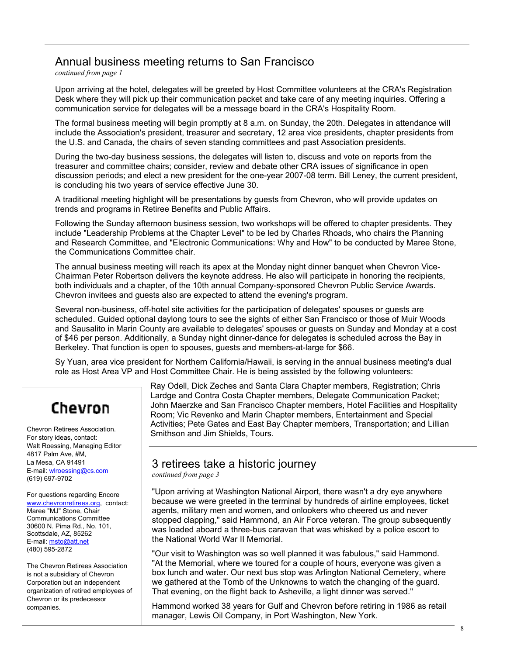#### Annual business meeting returns to San Francisco

*continued from page 1*

Upon arriving at the hotel, delegates will be greeted by Host Committee volunteers at the CRA's Registration Desk where they will pick up their communication packet and take care of any meeting inquiries. Offering a communication service for delegates will be a message board in the CRA's Hospitality Room.

The formal business meeting will begin promptly at 8 a.m. on Sunday, the 20th. Delegates in attendance will include the Association's president, treasurer and secretary, 12 area vice presidents, chapter presidents from the U.S. and Canada, the chairs of seven standing committees and past Association presidents.

During the two-day business sessions, the delegates will listen to, discuss and vote on reports from the treasurer and committee chairs; consider, review and debate other CRA issues of significance in open discussion periods; and elect a new president for the one-year 2007-08 term. Bill Leney, the current president, is concluding his two years of service effective June 30.

A traditional meeting highlight will be presentations by guests from Chevron, who will provide updates on trends and programs in Retiree Benefits and Public Affairs.

Following the Sunday afternoon business session, two workshops will be offered to chapter presidents. They include "Leadership Problems at the Chapter Level" to be led by Charles Rhoads, who chairs the Planning and Research Committee, and "Electronic Communications: Why and How" to be conducted by Maree Stone, the Communications Committee chair.

The annual business meeting will reach its apex at the Monday night dinner banquet when Chevron Vice-Chairman Peter Robertson delivers the keynote address. He also will participate in honoring the recipients, both individuals and a chapter, of the 10th annual Company-sponsored Chevron Public Service Awards. Chevron invitees and guests also are expected to attend the evening's program.

Several non-business, off-hotel site activities for the participation of delegates' spouses or guests are scheduled. Guided optional daylong tours to see the sights of either San Francisco or those of Muir Woods and Sausalito in Marin County are available to delegates' spouses or guests on Sunday and Monday at a cost of \$46 per person. Additionally, a Sunday night dinner-dance for delegates is scheduled across the Bay in Berkeley. That function is open to spouses, guests and members-at-large for \$66.

Sy Yuan, area vice president for Northern California/Hawaii, is serving in the annual business meeting's dual role as Host Area VP and Host Committee Chair. He is being assisted by the following volunteers:

## Chevron

Chevron Retirees Association. For story ideas, contact: Walt Roessing, Managing Editor 4817 Palm Ave, #M, La Mesa, CA 91491 E-mail: wlroessing@cs.com (619) 697-9702

For questions regarding Encore www.chevronretirees.org, contact: Maree "MJ" Stone, Chair Communications Committee 30600 N. Pima Rd., No. 101, Scottsdale, AZ, 85262 E-mail: msto@att.net (480) 595-2872

The Chevron Retirees Association is not a subsidiary of Chevron Corporation but an independent organization of retired employees of Chevron or its predecessor companies.

Ray Odell, Dick Zeches and Santa Clara Chapter members, Registration; Chris Lardge and Contra Costa Chapter members, Delegate Communication Packet; John Maerzke and San Francisco Chapter members, Hotel Facilities and Hospitality Room; Vic Revenko and Marin Chapter members, Entertainment and Special Activities; Pete Gates and East Bay Chapter members, Transportation; and Lillian Smithson and Jim Shields, Tours.

#### 3 retirees take a historic journey

*continued from page 3*

"Upon arriving at Washington National Airport, there wasn't a dry eye anywhere because we were greeted in the terminal by hundreds of airline employees, ticket agents, military men and women, and onlookers who cheered us and never stopped clapping," said Hammond, an Air Force veteran. The group subsequently was loaded aboard a three-bus caravan that was whisked by a police escort to the National World War II Memorial.

"Our visit to Washington was so well planned it was fabulous," said Hammond. "At the Memorial, where we toured for a couple of hours, everyone was given a box lunch and water. Our next bus stop was Arlington National Cemetery, where we gathered at the Tomb of the Unknowns to watch the changing of the guard. That evening, on the flight back to Asheville, a light dinner was served."

Hammond worked 38 years for Gulf and Chevron before retiring in 1986 as retail manager, Lewis Oil Company, in Port Washington, New York.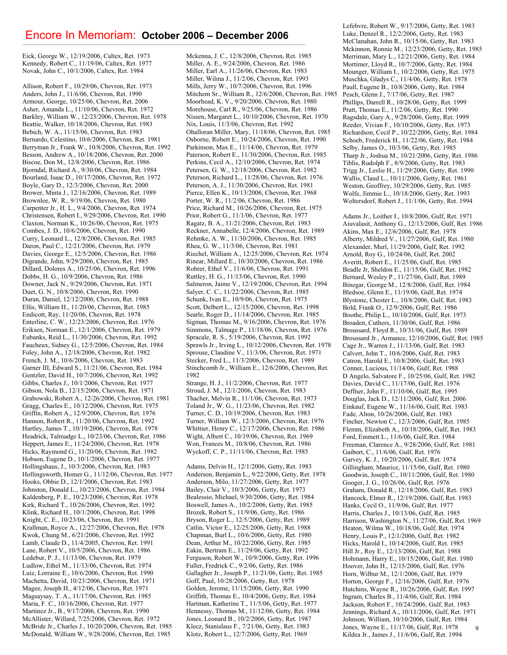#### Encore In Memoriam: **October 2006 – December 2006**

Eick, George W., 12/19/2006, Caltex, Ret. 1973 Kennedy, Robert C., 11/19/06, Caltex, Ret. 1977 Novak, John C., 10/1/2006, Caltex, Ret. 1984

Allison, Robert F., 10/29/06, Chevron, Ret. 1973 Anders, John J., 11/6/06, Chevron, Ret. 1990 Armour, George, 10/25/06, Chevron, Ret. 2006 Asher, Amanda L., 11/10/06, Chevron, Ret. 1972 Barkley, William W., 12/23/2006, Chevron, Ret. 1978 Beattie, Walker, 10/18/2006, Chevron, Ret. 1983 Bebich, W. A., 11/15/06, Chevron, Ret. 1983 Bernardo, Celestino, 10/6/2006, Chevron, Ret. 1981 Berryman Jr., Frank W., 10/8/2006, Chevron, Ret. 1992 Besson, Andrew A., 10/18/2006, Chevron, Ret. 2000 Biscoe, Don M., 12/8/2006, Chevron, Ret. 1986 Bjorndal, Richard A., 9/30/06, Chevron, Ret. 1984 Bourland, Isaac D., 10/17/2006, Chevron, Ret. 1972 Boyle, Gary D., 12/3/2006, Chevron, Ret. 2000 Brower, Minta J., 12/16/2006, Chevron, Ret. 1989 Brownlee, W. R., 9/19/06, Chevron, Ret. 1980 Carpenter Jr., H. L., 9/4/2006, Chevron, Ret. 1974 Christensen, Robert I., 9/29/2006, Chevron, Ret. 1990 Claxton, Norman K., 10/26/06, Chevron, Ret. 1975 Combes, J. D., 10/6/2006, Chevron, Ret. 1990 Curry, Leonard L., 12/8/2006, Chevron, Ret. 1985 Daron, Paul C., 12/21/2006, Chevron, Ret. 1979 Davies, George E., 12/5/2006, Chevron, Ret. 1986 Digrande, John, 9/29/2006, Chevron, Ret. 1985 Dillard, Dolores A., 10/25/06, Chevron, Ret. 1996 Dobbs, H. G., 10/9/2006, Chevron, Ret. 1986 Downer, Jack N., 9/29/2006, Chevron, Ret. 1971 Duet, G. N., 10/8/2006, Chevron, Ret. 1990 Duran, Daniel, 12/12/2006, Chevron, Ret. 1988 Ellis, William H., 11/20/06, Chevron, Ret. 1985 Endicott, Ray, 11/20/06, Chevron, Ret. 1978 Enterline, C. W., 12/23/2006, Chevron, Ret. 1976 Eriksen, Norman E., 12/1/2006, Chevron, Ret. 1979 Eubanks, Reid L., 11/30/2006, Chevron, Ret. 1992 Faucheux, Sidney G., 12/5/2006, Chevron, Ret. 1984 Foley, John A., 12/18/2006, Chevron, Ret. 1982 French, J. M., 10/6/2006, Chevron, Ret. 1983 Garner III, Edward S., 11/21/06, Chevron, Ret. 1984 Gentzler, David H., 10/7/2006, Chevron, Ret. 1992 Gibbs, Charles J., 10/1/2006, Chevron, Ret. 1977 Gibson, Nola B., 12/15/2006, Chevron, Ret. 1971 Grabowski, Robert A., 12/26/2006, Chevron, Ret. 1981 Gragg, Charles E., 10/12/2006, Chevron, Ret. 1975 Griffin, Robert A., 12/9/2006, Chevron, Ret. 1976 Hannon, Robert R., 11/20/06, Chevron, Ret. 1992 Hartley, James T., 10/19/2006, Chevron, Ret. 1978 Headrick, Talmadge L., 10/23/06, Chevron, Ret. 1986 Heppert, James E., 11/24/2006, Chevron, Ret. 1978 Hicks, Raymond G., 11/20/06, Chevron, Ret. 1982 Hobson, Eugene D., 10/1/2006, Chevron, Ret. 1977 Hollingshaus, J., 10/3/2006, Chevron, Ret. 1983 Hollingsworth, Homer G., 11/12/06, Chevron, Ret. 1977 Hooks, Obbie D., 12/1/2006, Chevron, Ret. 1983 Johnston, Donald L., 10/23/2006, Chevron, Ret. 1984 Kaldenberg, P. E., 10/23/2006, Chevron, Ret. 1978 Kirk, Richard T., 10/26/2006, Chevron, Ret. 1992 Klink, Richard H., 10/1/2006, Chevron, Ret. 1998 Knight, C. E., 10/23/06, Chevron, Ret. 1991 Krallman, Royce A., 12/27/2006, Chevron, Ret. 1978 Kwok, Chung M., 6/21/2006, Chevron, Ret. 1992 Lamb, Claude D., 11/4/2005, Chevron, Ret. 1991 Lane, Robert V., 10/5/2006, Chevron, Ret. 1986 Ledebur, P. J., 11/13/06, Chevron, Ret. 1979 Ludlow, Ethel M., 11/13/06, Chevron, Ret. 1974 Luiz, Lorraine E., 10/6/2006, Chevron, Ret. 1990 Machetta, David, 10/23/2006, Chevron, Ret. 1971 Magee, Joseph H., 4/12/06, Chevron, Ret. 1971 Magsaysay, T. A., 11/17/06, Chevron, Ret. 1985 Maria, F. C., 10/16/2006, Chevron, Ret. 1977 Martinez Jr., B., 9/17/2006, Chevron, Ret. 1990 McAllister, Willard, 7/25/2006, Chevron, Ret. 1972 McBride Jr., Charles J., 10/20/2006, Chevron, Ret. 1985 McDonald, William W., 9/28/2006, Chevron, Ret. 1985

Mckenna, J. C., 12/8/2006, Chevron, Ret. 1985 Miller, A. E., 9/24/2006, Chevron, Ret. 1986 Miller, Earl A., 11/26/06, Chevron, Ret. 1983 Miller, Wilma J., 11/2/06, Chevron, Ret. 1993 Mills, Jerry W., 10/7/2006, Chevron, Ret. 1996 Mitchem Sr., William R., 12/6/2006, Chevron, Ret. 1985 Moorhead, K. V., 9/20/2006, Chevron, Ret. 1980 Morehouse, Carl R., 9/25/06, Chevron, Ret. 1986 Nissen, Margaret L., 10/10/2006, Chevron, Ret. 1970 Nix, Louis, 11/3/06, Chevron, Ret. 1992 Ohalloran Miller, Mary, 11/18/06, Chevron, Ret. 1985 Osborne, Robert E., 10/24/2006, Chevron, Ret. 1990 Parkinson, Max E., 11/14/06, Chevron, Ret. 1979 Paterson, Robert E., 11/30/2006, Chevron, Ret. 1985 Perkins, Cecil A., 12/10/2006, Chevron, Ret. 1974 Petersen, G. W., 12/18/2006, Chevron, Ret. 1982 Peterson, Richard L., 11/28/06, Chevron, Ret. 1976 Peterson, A. J., 11/30/2006, Chevron, Ret. 1981 Pierce, Ellen K., 10/13/2006, Chevron, Ret. 1968 Porter, W. R., 11/2/06, Chevron, Ret. 1986 Price, Richard M., 10/26/2006, Chevron, Ret. 1975 Prior, Robert G., 11/1/06, Chevron, Ret. 1977 Ragatz, B. A., 11/21/2006, Chevron, Ret. 1983 Reckner, Annabelle, 12/4/2006, Chevron, Ret. 1989 Rehmke, A. W., 11/30/2006, Chevron, Ret. 1985 Rhea, G. W., 11/3/06, Chevron, Ret. 1981 Riechel, William A., 12/25/2006, Chevron, Ret. 1974 Rinear, Millard E., 10/30/2006, Chevron, Ret. 1986 Rohrer, Ethel V., 11/6/06, Chevron, Ret. 1991 Ruttley, H. G., 11/13/06, Chevron, Ret. 1990 Salmeron, Jaime V., 12/19/2006, Chevron, Ret. 1994 Salyer, C. C., 11/22/2006, Chevron, Ret. 1985 Schunk, Ivan E., 10/9/06, Chevron, Ret. 1975 Scott, Delbert L., 12/15/2006, Chevron, Ret. 1998 Searle, Roger D., 11/14/2006, Chevron, Ret. 1985 Sigman, Thomas M., 9/16/2006, Chevron, Ret. 1976 Simmons, Talmage P., 11/18/06, Chevron, Ret. 1976 Spracale, R. S., 5/19/2006, Chevron, Ret. 1992 Sprawls Jr., Irving L., 10/12/2006, Chevron, Ret. 1978 Sprouse, Claudine V., 11/3/06, Chevron, Ret. 1971 Stecker, Fred L., 11/3/2006, Chevron, Ret. 1989 Stinchcomb Jr., William E., 12/6/2006, Chevron, Ret. 1982 Strange, H. J., 11/2/2006, Chevron, Ret. 1977

Stroud, J. M., 12/1/2006, Chevron, Ret. 1983 Thacher, Melvin R., 11/1/06, Chevron, Ret. 1973 Toland Jr., W. G., 11/23/06, Chevron, Ret. 1982 Turner, C. D., 10/19/2006, Chevron, Ret. 1983 Turner, William W., 12/3/2006, Chevron, Ret. 1976 Whittier, Henry C., 12/17/2006, Chevron, Ret. 1986 Wight, Albert C., 10/19/06, Chevron, Ret. 1969 Won, Frances M., 10/8/06, Chevron, Ret. 1986 Wyckoff, C. P., 11/11/06, Chevron, Ret. 1985

Adams, Delvin H., 12/1/2006, Getty, Ret. 1983 Anderson, Benjamin L., 9/22/2006, Getty, Ret. 1978 Anderson, Milo, 11/27/2006, Getty, Ret. 1977 Bailey, Clair V., 10/3/2006, Getty, Ret. 1973 Bealessio, Michael, 9/30/2006, Getty, Ret. 1984 Boswell, James A., 10/2/2006, Getty, Ret. 1985 Brozek, Robert S., 11/9/06, Getty, Ret. 1986 Bryson, Roger L., 12/5/2006, Getty, Ret. 1989 Catlin, Victor E., 12/25/2006, Getty, Ret. 1988 Chapman, Burl L., 10/6/2006, Getty, Ret. 1980 Dean, Arthur M., 10/22/2006, Getty, Ret. 1985 Eakin, Bertram E., 11/29/06, Getty, Ret. 1992 Ferguson, Robert W., 10/9/2006, Getty, Ret. 1996 Fuller, Fredrick C., 9/2/06, Getty, Ret. 1986 Gallagher Jr., Joseph P., 11/21/06, Getty, Ret. 1985 Goff, Paul, 10/28/2006, Getty, Ret. 1978 Golden, Jerome, 11/15/2006, Getty, Ret. 1990 Griffith, Thomas E., 10/4/2006, Getty, Ret. 1984 Hartman, Katherine T., 11/5/06, Getty, Ret. 1977 Hennessy, Thomas M., 11/12/06, Getty, Ret. 1984 Jones, Leonard B., 10/2/2006, Getty, Ret. 1987 Klecz, Stanislaus F., 7/21/06, Getty, Ret. 1983 Klotz, Robert L., 12/7/2006, Getty, Ret. 1969

Lefebvre, Robert W., 9/17/2006, Getty, Ret. 1983 Luke, Denzel R., 12/2/2006, Getty, Ret. 1983 McClanahan, John R., 10/15/06, Getty, Ret. 1983 Mckinnon, Ronnie M., 12/23/2006, Getty, Ret. 1985 Merriman, Mary L., 12/21/2006, Getty, Ret. 1984 Mortimer, Lloyd R., 10/7/2006, Getty, Ret. 1984 Mounger, William I., 10/2/2006, Getty, Ret. 1975 Muschka, Gladys C., 11/4/06, Getty, Ret. 1978 Paull, Eugene B., 10/8/2006, Getty, Ret. 1984 Pesch, Glenn J., 7/17/06, Getty, Ret. 1987 Phillips, Darrell R., 10/28/06, Getty, Ret. 1999 Pratt, Thomas E., 11/2/06, Getty, Ret. 1990 Ragsdale, Gary A., 9/28/2006, Getty, Ret. 1999 Reeder, Vivian F., 10/10/2006, Getty, Ret. 1973 Richardson, Cecil P., 10/22/2006, Getty, Ret. 1984 Schoeb, Frederick H., 11/22/06, Getty, Ret. 1984 Selby, James O., 10/3/06, Getty, Ret. 1985 Tharp Jr., Joshua M., 10/21/2006, Getty, Ret. 1986 Tiblis, Rudolph F., 8/9/2006, Getty, Ret. 1983 Trigg Jr., Leslie H., 11/29/2006, Getty, Ret. 1990 Wallis, Claud L., 10/11/2006, Getty, Ret. 1961 Weston, Geoffrey, 10/29/2006, Getty, Ret. 1985 Wolfe, Jimmie L., 10/18/2006, Getty, Ret. 1993 Woltersdorf, Robert J., 11/1/06, Getty, Ret. 1994

9 Adams Jr., Loither I., 10/8/2006, Gulf, Ret. 1971 Aiuvalasit, Anthony G., 12/13/2006, Gulf, Ret. 1986 Akins, Max E., 12/6/2006, Gulf, Ret. 1978 Alberty, Mildred V., 11/27/2006, Gulf, Ret. 1980 Alexander, Murl, 11/29/2006, Gulf, Ret. 1992 Arnold, Roy G., 10/24/06, Gulf, Ret. 2002 Averitt, Robert E., 11/25/06, Gulf, Ret. 1985 Beadle Jr, Sheldon E., 11/15/06, Gulf, Ret. 1982 Bernard, Wesley P., 11/27/06, Gulf, Ret. 1989 Binegar, George M., 12/8/2006, Gulf, Ret. 1984 Bledsoe, Glenn E., 11/19/06, Gulf, Ret. 1974 Blystone, Chester L., 10/8/2006, Gulf, Ret. 1983 Bold, Frank O., 12/9/2006, Gulf, Ret. 1986 Boothe, Philip L., 10/10/2006, Gulf, Ret. 1973 Broaden, Cuthers, 11/30/06, Gulf, Ret. 1986 Broussard, Floyd R., 10/31/06, Gulf, Ret. 1989 Broussard Jr., Armance, 12/10/2006, Gulf, Ret. 1985 Cage Jr., Warren J., 11/13/06, Gulf, Ret. 1983 Calvert, John T., 10/6/2006, Gulf, Ret. 1983 Catron, Harold E., 10/8/2006, Gulf, Ret. 1983 Conner, Lucious, 11/14/06, Gulf, Ret. 1988 D Angelo, Salvatore F., 10/25/06, Gulf, Ret. 1982 Davies, David C., 11/17/06, Gulf, Ret. 1976 Deffner, John F., 11/10/06, Gulf, Ret. 1995 Douglas, Jack D., 12/11/2006, Gulf, Ret. 2006 Einkauf, Eugene W., 11/16/06, Gulf, Ret. 1983 Fade, Alton, 10/26/2006, Gulf, Ret. 1983 Fincher, Newton C., 12/3/2006, Gulf, Ret. 1985 Flemm, Elizabeth A., 10/18/2006, Gulf, Ret. 1983 Ford, Emmett L., 11/6/06, Gulf, Ret. 1984 Freeman, Clarence A., 9/28/2006, Gulf, Ret. 1981 Gaibort, C., 11/6/06, Gulf, Ret. 1976 Garvey, K. J., 10/20/2006, Gulf, Ret. 1974 Gillingham, Maurice, 11/15/06, Gulf, Ret. 1980 Goodwin, Joseph C., 10/11/2006, Gulf, Ret. 1980 Googer, J. G., 10/26/06, Gulf, Ret. 1976 Graham, Donald R., 12/18/2006, Gulf, Ret. 1983 Hancock, Elmer R., 12/19/2006, Gulf, Ret. 1983 Hanks, Cecil O., 11/9/06, Gulf, Ret. 1977 Harris, Charles J., 10/13/06, Gulf, Ret. 1985 Harrison, Washington N., 11/27/06, Gulf, Ret. 1969 Heaton, Wilma W., 10/18/06, Gulf, Ret. 1974 Henry, Louis P., 12/1/2006, Gulf, Ret. 1982 Hicks, Harold I., 10/14/2006, Gulf, Ret. 1985 Hill Jr., Roy E., 12/13/2006, Gulf, Ret. 1988 Hohmann, Harry E., 10/15/2006, Gulf, Ret. 1980 Hoover, John H., 12/15/2006, Gulf, Ret. 1976 Horn, Wilbur M., 12/1/2006, Gulf, Ret. 1979 Horton, George F., 12/16/2006, Gulf, Ret. 1976 Hutchins, Wayne R., 10/26/2006, Gulf, Ret. 1997 Ingram, Charles B., 11/4/06, Gulf, Ret. 1984 Jackson, Robert F., 10/24/2006, Gulf, Ret. 1983 Jennings, Richard A., 10/11/2006, Gulf, Ret. 1971 Johnson, William, 10/10/2006, Gulf, Ret. 1984 Jones, Wayne E., 11/17/06, Gulf, Ret. 1978 Kildea Jr., James J., 11/6/06, Gulf, Ret. 1994